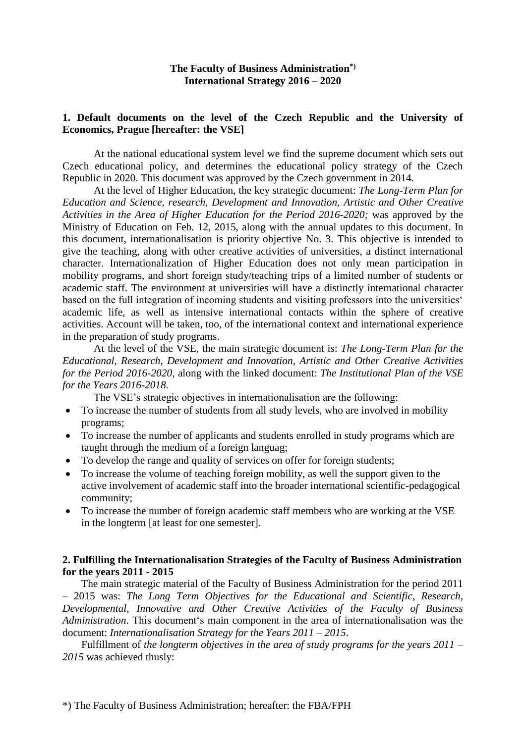### **The Faculty of Business Administration\*) International Strategy 2016 – 2020**

#### **1. Default documents on the level of the Czech Republic and the University of Economics, Prague [hereafter: the VSE]**

At the national educational system level we find the supreme document which sets out Czech educational policy, and determines the educational policy strategy of the Czech Republic in 2020. This document was approved by the Czech government in 2014.

At the level of Higher Education, the key strategic document: *The Long-Term Plan for Education and Science, research, Development and Innovation, Artistic and Other Creative Activities in the Area of Higher Education for the Period 2016-2020;* was approved by the Ministry of Education on Feb. 12, 2015, along with the annual updates to this document. In this document, internationalisation is priority objective No. 3. This objective is intended to give the teaching, along with other creative activities of universities, a distinct international character. Internationalization of Higher Education does not only mean participation in mobility programs, and short foreign study/teaching trips of a limited number of students or academic staff. The environment at universities will have a distinctly international character based on the full integration of incoming students and visiting professors into the universities' academic life, as well as intensive international contacts within the sphere of creative activities. Account will be taken, too, of the international context and international experience in the preparation of study programs.

At the level of the VSE, the main strategic document is: *The Long-Term Plan for the Educational, Research, Development and Innovation, Artistic and Other Creative Activities for the Period 2016-2020,* along with the linked document: *The Institutional Plan of the VSE for the Years 2016-2018.*

The VSE's strategic objectives in internationalisation are the following:

- To increase the number of students from all study levels, who are involved in mobility programs;
- To increase the number of applicants and students enrolled in study programs which are taught through the medium of a foreign languag;
- To develop the range and quality of services on offer for foreign students;
- To increase the volume of teaching foreign mobility, as well the support given to the active involvement of academic staff into the broader international scientific-pedagogical community;
- To increase the number of foreign academic staff members who are working at the VSE in the longterm [at least for one semester].

#### **2. Fulfilling the Internationalisation Strategies of the Faculty of Business Administration for the years 2011 - 2015**

The main strategic material of the Faculty of Business Administration for the period 2011 – 2015 was: *The Long Term Objectives for the Educational and Scientific, Research, Developmental, Innovative and Other Creative Activities of the Faculty of Business Administration*. This document's main component in the area of internationalisation was the document: *Internationalisation Strategy for the Years 2011 – 2015*.

Fulfillment of *the longterm objectives in the area of study programs for the years 2011 – 2015* was achieved thusly: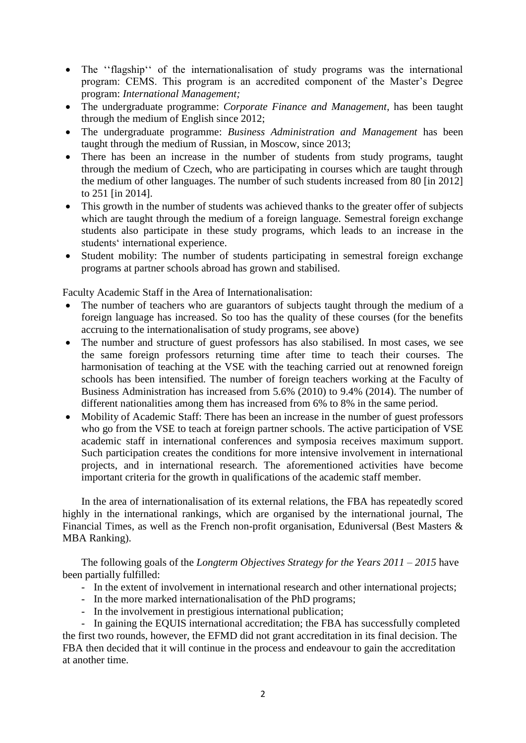- The "flagship" of the internationalisation of study programs was the international program: CEMS. This program is an accredited component of the Master's Degree program: *International Management;*
- The undergraduate programme: *Corporate Finance and Management*, has been taught through the medium of English since 2012;
- The undergraduate programme: *Business Administration and Management* has been taught through the medium of Russian, in Moscow, since 2013;
- There has been an increase in the number of students from study programs, taught through the medium of Czech, who are participating in courses which are taught through the medium of other languages. The number of such students increased from 80 [in 2012] to 251 [in 2014].
- This growth in the number of students was achieved thanks to the greater offer of subjects which are taught through the medium of a foreign language. Semestral foreign exchange students also participate in these study programs, which leads to an increase in the students' international experience.
- Student mobility: The number of students participating in semestral foreign exchange programs at partner schools abroad has grown and stabilised.

Faculty Academic Staff in the Area of Internationalisation:

- The number of teachers who are guarantors of subjects taught through the medium of a foreign language has increased. So too has the quality of these courses (for the benefits accruing to the internationalisation of study programs, see above)
- The number and structure of guest professors has also stabilised. In most cases, we see the same foreign professors returning time after time to teach their courses. The harmonisation of teaching at the VSE with the teaching carried out at renowned foreign schools has been intensified. The number of foreign teachers working at the Faculty of Business Administration has increased from 5.6% (2010) to 9.4% (2014). The number of different nationalities among them has increased from 6% to 8% in the same period.
- Mobility of Academic Staff: There has been an increase in the number of guest professors who go from the VSE to teach at foreign partner schools. The active participation of VSE academic staff in international conferences and symposia receives maximum support. Such participation creates the conditions for more intensive involvement in international projects, and in international research. The aforementioned activities have become important criteria for the growth in qualifications of the academic staff member.

In the area of internationalisation of its external relations, the FBA has repeatedly scored highly in the international rankings, which are organised by the international journal, The Financial Times, as well as the French non-profit organisation, Eduniversal (Best Masters & MBA Ranking).

The following goals of the *Longterm Objectives Strategy for the Years 2011 – 2015* have been partially fulfilled:

- In the extent of involvement in international research and other international projects;
- In the more marked internationalisation of the PhD programs;
- In the involvement in prestigious international publication;

- In gaining the EQUIS international accreditation; the FBA has successfully completed the first two rounds, however, the EFMD did not grant accreditation in its final decision. The FBA then decided that it will continue in the process and endeavour to gain the accreditation at another time.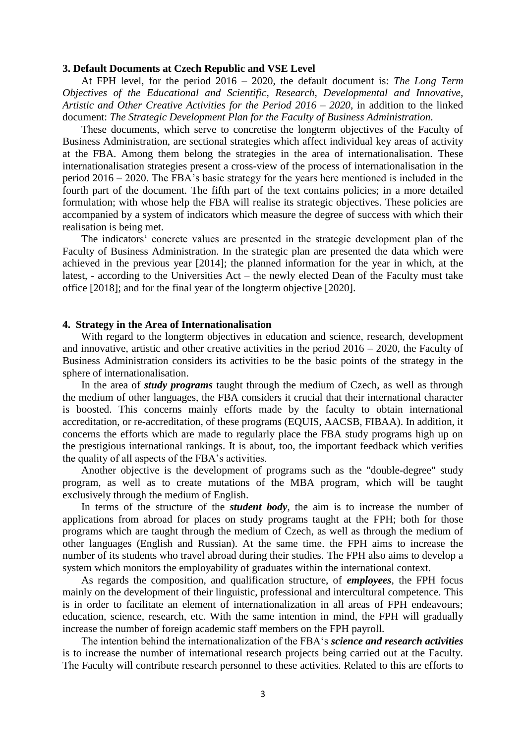#### **3. Default Documents at Czech Republic and VSE Level**

At FPH level, for the period 2016 – 2020, the default document is: *The Long Term Objectives of the Educational and Scientific, Research, Developmental and Innovative, Artistic and Other Creative Activities for the Period 2016 – 2020*, in addition to the linked document: *The Strategic Development Plan for the Faculty of Business Administration.*

These documents, which serve to concretise the longterm objectives of the Faculty of Business Administration, are sectional strategies which affect individual key areas of activity at the FBA. Among them belong the strategies in the area of internationalisation. These internationalisation strategies present a cross-view of the process of internationalisation in the period 2016 – 2020. The FBA's basic strategy for the years here mentioned is included in the fourth part of the document. The fifth part of the text contains policies; in a more detailed formulation; with whose help the FBA will realise its strategic objectives. These policies are accompanied by a system of indicators which measure the degree of success with which their realisation is being met.

The indicators' concrete values are presented in the strategic development plan of the Faculty of Business Administration. In the strategic plan are presented the data which were achieved in the previous year [2014]; the planned information for the year in which, at the latest, - according to the Universities Act – the newly elected Dean of the Faculty must take office [2018]; and for the final year of the longterm objective [2020].

#### **4. Strategy in the Area of Internationalisation**

With regard to the longterm objectives in education and science, research, development and innovative, artistic and other creative activities in the period  $2016 - 2020$ , the Faculty of Business Administration considers its activities to be the basic points of the strategy in the sphere of internationalisation.

In the area of *study programs* taught through the medium of Czech, as well as through the medium of other languages, the FBA considers it crucial that their international character is boosted. This concerns mainly efforts made by the faculty to obtain international accreditation, or re-accreditation, of these programs (EQUIS, AACSB, FIBAA). In addition, it concerns the efforts which are made to regularly place the FBA study programs high up on the prestigious international rankings. It is about, too, the important feedback which verifies the quality of all aspects of the FBA's activities.

Another objective is the development of programs such as the "double-degree" study program, as well as to create mutations of the MBA program, which will be taught exclusively through the medium of English.

In terms of the structure of the *student body*, the aim is to increase the number of applications from abroad for places on study programs taught at the FPH; both for those programs which are taught through the medium of Czech, as well as through the medium of other languages (English and Russian). At the same time. the FPH aims to increase the number of its students who travel abroad during their studies. The FPH also aims to develop a system which monitors the employability of graduates within the international context.

As regards the composition, and qualification structure, of *employees*, the FPH focus mainly on the development of their linguistic, professional and intercultural competence. This is in order to facilitate an element of internationalization in all areas of FPH endeavours; education, science, research, etc. With the same intention in mind, the FPH will gradually increase the number of foreign academic staff members on the FPH payroll.

The intention behind the internationalization of the FBA's *science and research activities* is to increase the number of international research projects being carried out at the Faculty. The Faculty will contribute research personnel to these activities. Related to this are efforts to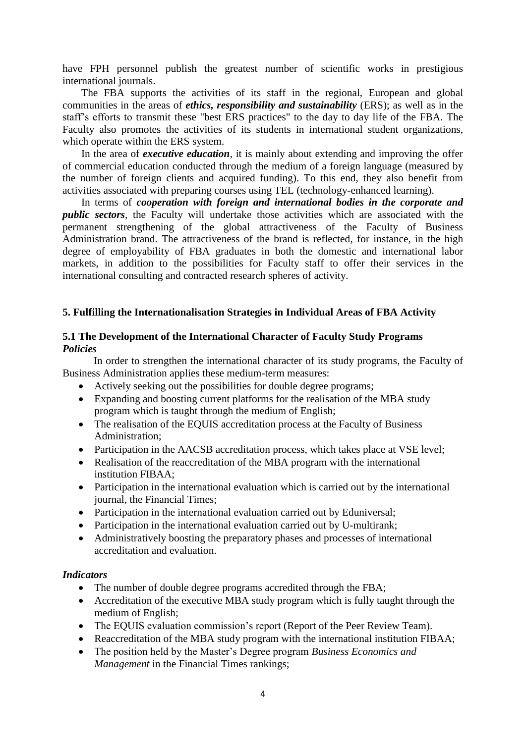have FPH personnel publish the greatest number of scientific works in prestigious international journals.

The FBA supports the activities of its staff in the regional, European and global communities in the areas of *ethics, responsibility and sustainability* (ERS); as well as in the staff's efforts to transmit these "best ERS practices" to the day to day life of the FBA. The Faculty also promotes the activities of its students in international student organizations, which operate within the ERS system.

In the area of *executive education*, it is mainly about extending and improving the offer of commercial education conducted through the medium of a foreign language (measured by the number of foreign clients and acquired funding). To this end, they also benefit from activities associated with preparing courses using TEL (technology-enhanced learning).

In terms of *cooperation with foreign and international bodies in the corporate and public sectors*, the Faculty will undertake those activities which are associated with the permanent strengthening of the global attractiveness of the Faculty of Business Administration brand. The attractiveness of the brand is reflected, for instance, in the high degree of employability of FBA graduates in both the domestic and international labor markets, in addition to the possibilities for Faculty staff to offer their services in the international consulting and contracted research spheres of activity.

#### **5. Fulfilling the Internationalisation Strategies in Individual Areas of FBA Activity**

### **5.1 The Development of the International Character of Faculty Study Programs** *Policies*

In order to strengthen the international character of its study programs, the Faculty of Business Administration applies these medium-term measures:

- Actively seeking out the possibilities for double degree programs;
- Expanding and boosting current platforms for the realisation of the MBA study program which is taught through the medium of English;
- The realisation of the EQUIS accreditation process at the Faculty of Business Administration;
- Participation in the AACSB accreditation process, which takes place at VSE level:
- Realisation of the reaccreditation of the MBA program with the international institution FIBAA;
- Participation in the international evaluation which is carried out by the international journal, the Financial Times;
- Participation in the international evaluation carried out by Eduniversal;
- Participation in the international evaluation carried out by U-multirank;
- Administratively boosting the preparatory phases and processes of international accreditation and evaluation.

#### *Indicators*

- The number of double degree programs accredited through the FBA;
- Accreditation of the executive MBA study program which is fully taught through the medium of English;
- The EQUIS evaluation commission's report (Report of the Peer Review Team).
- Reaccreditation of the MBA study program with the international institution FIBAA;
- The position held by the Master's Degree program *Business Economics and Management* in the Financial Times rankings;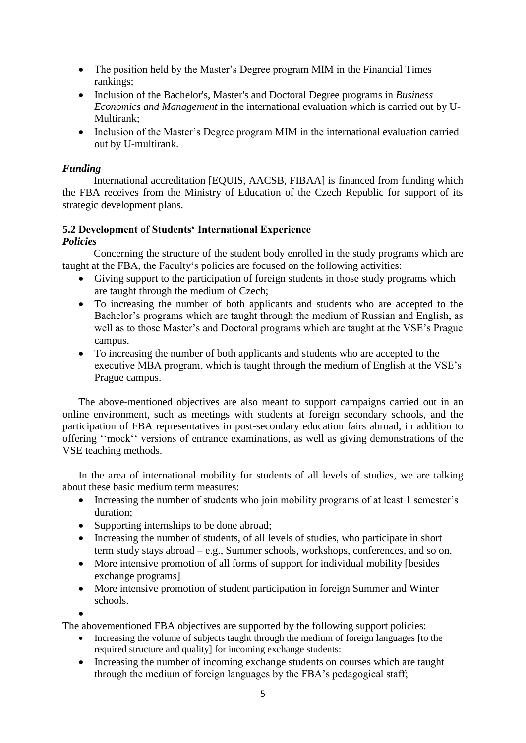- The position held by the Master's Degree program MIM in the Financial Times rankings;
- Inclusion of the Bachelor's, Master's and Doctoral Degree programs in *Business Economics and Management* in the international evaluation which is carried out by U-Multirank:
- Inclusion of the Master's Degree program MIM in the international evaluation carried out by U-multirank.

# *Funding*

International accreditation [EQUIS, AACSB, FIBAA] is financed from funding which the FBA receives from the Ministry of Education of the Czech Republic for support of its strategic development plans.

# **5.2 Development of Students' International Experience**

# *Policies*

Concerning the structure of the student body enrolled in the study programs which are taught at the FBA, the Faculty's policies are focused on the following activities:

- Giving support to the participation of foreign students in those study programs which are taught through the medium of Czech;
- To increasing the number of both applicants and students who are accepted to the Bachelor's programs which are taught through the medium of Russian and English, as well as to those Master's and Doctoral programs which are taught at the VSE's Prague campus.
- To increasing the number of both applicants and students who are accepted to the executive MBA program, which is taught through the medium of English at the VSE's Prague campus.

The above-mentioned objectives are also meant to support campaigns carried out in an online environment, such as meetings with students at foreign secondary schools, and the participation of FBA representatives in post-secondary education fairs abroad, in addition to offering ''mock'' versions of entrance examinations, as well as giving demonstrations of the VSE teaching methods.

In the area of international mobility for students of all levels of studies, we are talking about these basic medium term measures:

- Increasing the number of students who join mobility programs of at least 1 semester's duration;
- Supporting internships to be done abroad;
- Increasing the number of students, of all levels of studies, who participate in short term study stays abroad – e.g., Summer schools, workshops, conferences, and so on.
- More intensive promotion of all forms of support for individual mobility [besides exchange programs]
- More intensive promotion of student participation in foreign Summer and Winter schools.
- $\bullet$

The abovementioned FBA objectives are supported by the following support policies:

- Increasing the volume of subjects taught through the medium of foreign languages [to the required structure and quality] for incoming exchange students:
- Increasing the number of incoming exchange students on courses which are taught through the medium of foreign languages by the FBA's pedagogical staff;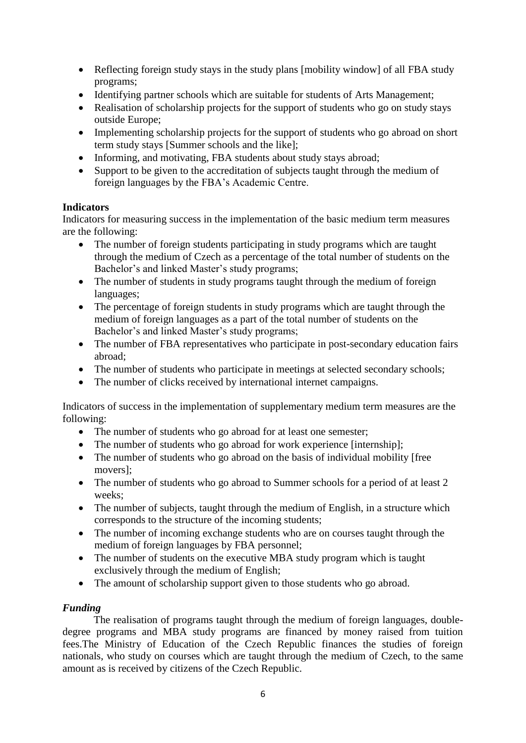- Reflecting foreign study stays in the study plans [mobility window] of all FBA study programs;
- Identifying partner schools which are suitable for students of Arts Management;
- Realisation of scholarship projects for the support of students who go on study stays outside Europe;
- Implementing scholarship projects for the support of students who go abroad on short term study stays [Summer schools and the like];
- Informing, and motivating, FBA students about study stays abroad;
- Support to be given to the accreditation of subjects taught through the medium of foreign languages by the FBA's Academic Centre.

### **Indicators**

Indicators for measuring success in the implementation of the basic medium term measures are the following:

- The number of foreign students participating in study programs which are taught through the medium of Czech as a percentage of the total number of students on the Bachelor's and linked Master's study programs;
- The number of students in study programs taught through the medium of foreign languages;
- The percentage of foreign students in study programs which are taught through the medium of foreign languages as a part of the total number of students on the Bachelor's and linked Master's study programs;
- The number of FBA representatives who participate in post-secondary education fairs abroad;
- The number of students who participate in meetings at selected secondary schools;
- The number of clicks received by international internet campaigns.

Indicators of success in the implementation of supplementary medium term measures are the following:

- The number of students who go abroad for at least one semester;
- The number of students who go abroad for work experience [internship];
- The number of students who go abroad on the basis of individual mobility [free movers];
- The number of students who go abroad to Summer schools for a period of at least 2 weeks;
- The number of subjects, taught through the medium of English, in a structure which corresponds to the structure of the incoming students;
- The number of incoming exchange students who are on courses taught through the medium of foreign languages by FBA personnel;
- The number of students on the executive MBA study program which is taught exclusively through the medium of English;
- The amount of scholarship support given to those students who go abroad.

# *Funding*

The realisation of programs taught through the medium of foreign languages, doubledegree programs and MBA study programs are financed by money raised from tuition fees.The Ministry of Education of the Czech Republic finances the studies of foreign nationals, who study on courses which are taught through the medium of Czech, to the same amount as is received by citizens of the Czech Republic.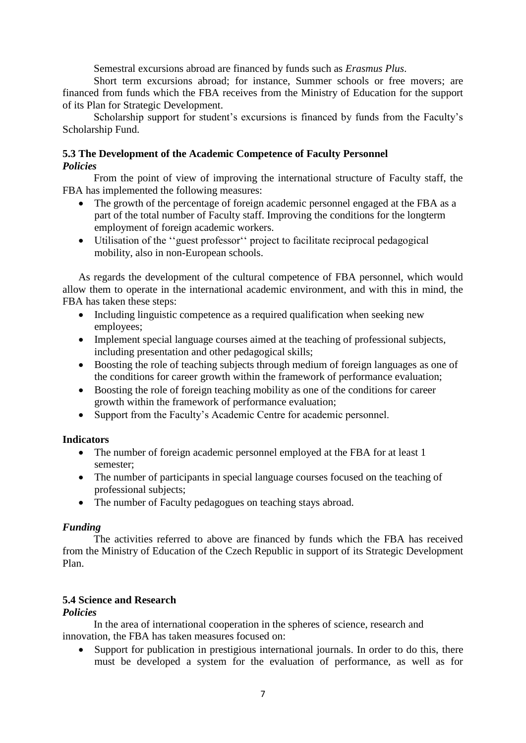Semestral excursions abroad are financed by funds such as *Erasmus Plus*.

Short term excursions abroad; for instance, Summer schools or free movers; are financed from funds which the FBA receives from the Ministry of Education for the support of its Plan for Strategic Development.

Scholarship support for student's excursions is financed by funds from the Faculty's Scholarship Fund.

### **5.3 The Development of the Academic Competence of Faculty Personnel** *Policies*

From the point of view of improving the international structure of Faculty staff, the FBA has implemented the following measures:

- The growth of the percentage of foreign academic personnel engaged at the FBA as a part of the total number of Faculty staff. Improving the conditions for the longterm employment of foreign academic workers.
- Utilisation of the ''guest professor'' project to facilitate reciprocal pedagogical mobility, also in non-European schools.

As regards the development of the cultural competence of FBA personnel, which would allow them to operate in the international academic environment, and with this in mind, the FBA has taken these steps:

- Including linguistic competence as a required qualification when seeking new employees;
- Implement special language courses aimed at the teaching of professional subjects, including presentation and other pedagogical skills;
- Boosting the role of teaching subjects through medium of foreign languages as one of the conditions for career growth within the framework of performance evaluation;
- Boosting the role of foreign teaching mobility as one of the conditions for career growth within the framework of performance evaluation;
- Support from the Faculty's Academic Centre for academic personnel.

#### **Indicators**

- The number of foreign academic personnel employed at the FBA for at least 1 semester;
- The number of participants in special language courses focused on the teaching of professional subjects;
- The number of Faculty pedagogues on teaching stays abroad.

#### *Funding*

The activities referred to above are financed by funds which the FBA has received from the Ministry of Education of the Czech Republic in support of its Strategic Development Plan.

### **5.4 Science and Research**

#### *Policies*

In the area of international cooperation in the spheres of science, research and innovation, the FBA has taken measures focused on:

• Support for publication in prestigious international journals. In order to do this, there must be developed a system for the evaluation of performance, as well as for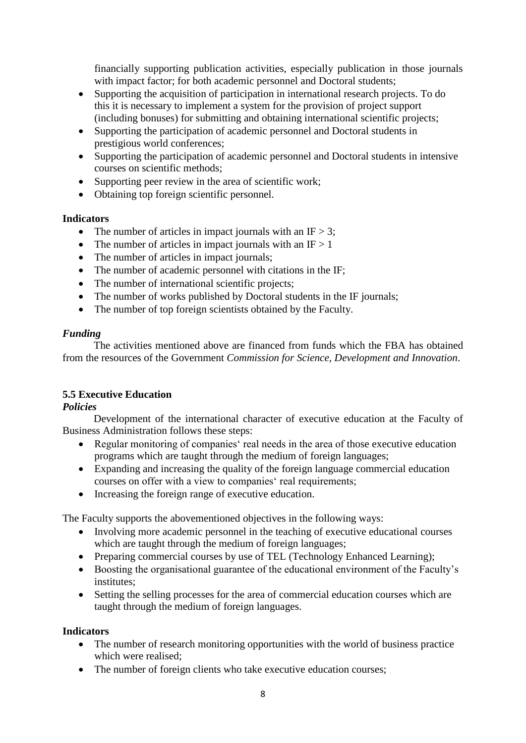financially supporting publication activities, especially publication in those journals with impact factor; for both academic personnel and Doctoral students;

- Supporting the acquisition of participation in international research projects. To do this it is necessary to implement a system for the provision of project support (including bonuses) for submitting and obtaining international scientific projects;
- Supporting the participation of academic personnel and Doctoral students in prestigious world conferences;
- Supporting the participation of academic personnel and Doctoral students in intensive courses on scientific methods;
- Supporting peer review in the area of scientific work;
- Obtaining top foreign scientific personnel.

### **Indicators**

- The number of articles in impact journals with an IF  $> 3$ ;
- The number of articles in impact journals with an  $IF > 1$
- The number of articles in impact journals:
- The number of academic personnel with citations in the IF;
- The number of international scientific projects;
- The number of works published by Doctoral students in the IF journals;
- The number of top foreign scientists obtained by the Faculty.

### *Funding*

The activities mentioned above are financed from funds which the FBA has obtained from the resources of the Government *Commission for Science, Development and Innovation*.

### **5.5 Executive Education**

### *Policies*

Development of the international character of executive education at the Faculty of Business Administration follows these steps:

- Regular monitoring of companies' real needs in the area of those executive education programs which are taught through the medium of foreign languages;
- Expanding and increasing the quality of the foreign language commercial education courses on offer with a view to companies' real requirements;
- Increasing the foreign range of executive education.

The Faculty supports the abovementioned objectives in the following ways:

- Involving more academic personnel in the teaching of executive educational courses which are taught through the medium of foreign languages;
- Preparing commercial courses by use of TEL (Technology Enhanced Learning);
- Boosting the organisational guarantee of the educational environment of the Faculty's institutes;
- Setting the selling processes for the area of commercial education courses which are taught through the medium of foreign languages.

### **Indicators**

- The number of research monitoring opportunities with the world of business practice which were realised;
- The number of foreign clients who take executive education courses;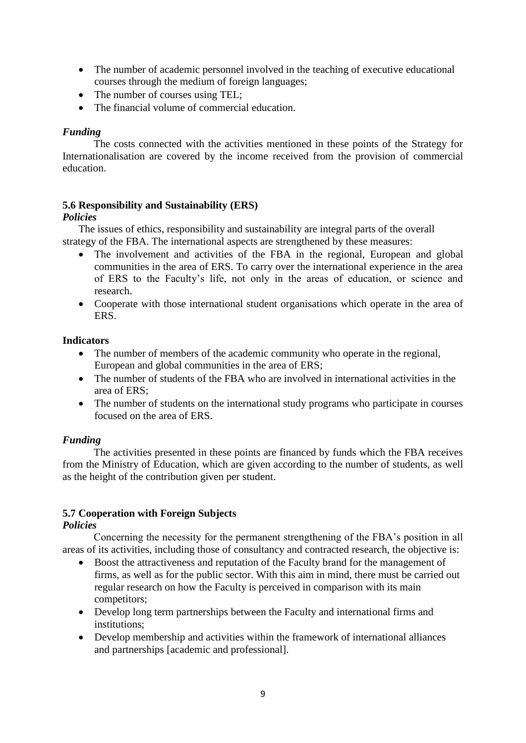- The number of academic personnel involved in the teaching of executive educational courses through the medium of foreign languages;
- The number of courses using TEL;
- The financial volume of commercial education.

### *Funding*

The costs connected with the activities mentioned in these points of the Strategy for Internationalisation are covered by the income received from the provision of commercial education.

### **5.6 Responsibility and Sustainability (ERS)**

### *Policies*

The issues of ethics, responsibility and sustainability are integral parts of the overall strategy of the FBA. The international aspects are strengthened by these measures:

- The involvement and activities of the FBA in the regional, European and global communities in the area of ERS. To carry over the international experience in the area of ERS to the Faculty's life, not only in the areas of education, or science and research.
- Cooperate with those international student organisations which operate in the area of ERS.

### **Indicators**

- The number of members of the academic community who operate in the regional, European and global communities in the area of ERS;
- The number of students of the FBA who are involved in international activities in the area of ERS;
- The number of students on the international study programs who participate in courses focused on the area of ERS.

### *Funding*

The activities presented in these points are financed by funds which the FBA receives from the Ministry of Education, which are given according to the number of students, as well as the height of the contribution given per student.

### **5.7 Cooperation with Foreign Subjects**

### *Policies*

Concerning the necessity for the permanent strengthening of the FBA's position in all areas of its activities, including those of consultancy and contracted research, the objective is:

- Boost the attractiveness and reputation of the Faculty brand for the management of firms, as well as for the public sector. With this aim in mind, there must be carried out regular research on how the Faculty is perceived in comparison with its main competitors;
- Develop long term partnerships between the Faculty and international firms and institutions;
- Develop membership and activities within the framework of international alliances and partnerships [academic and professional].